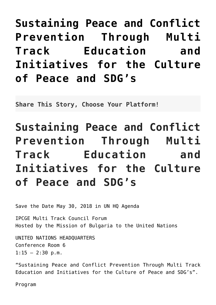## **[Sustaining Peace and Conflict](http://noahide.org/sustaining-peace-and-conflict-prevention-through-multi-track-education-and-initiatives-for-the-culture-of-peace-and-sdgs/) [Prevention Through Multi](http://noahide.org/sustaining-peace-and-conflict-prevention-through-multi-track-education-and-initiatives-for-the-culture-of-peace-and-sdgs/) [Track Education and](http://noahide.org/sustaining-peace-and-conflict-prevention-through-multi-track-education-and-initiatives-for-the-culture-of-peace-and-sdgs/) [Initiatives for the Culture](http://noahide.org/sustaining-peace-and-conflict-prevention-through-multi-track-education-and-initiatives-for-the-culture-of-peace-and-sdgs/) [of Peace and SDG's](http://noahide.org/sustaining-peace-and-conflict-prevention-through-multi-track-education-and-initiatives-for-the-culture-of-peace-and-sdgs/)**

**Share This Story, Choose Your Platform!**

## **Sustaining Peace and Conflict Prevention Through Multi Track Education and Initiatives for the Culture of Peace and SDG's**

Save the Date May 30, 2018 in UN HQ Agenda

IPCGE Multi Track Council Forum Hosted by the Mission of Bulgaria to the United Nations

UNITED NATIONS HEADQUARTERS Conference Room 6  $1:15 - 2:30$  p.m.

"Sustaining Peace and Conflict Prevention Through Multi Track Education and Initiatives for the Culture of Peace and SDG's".

Program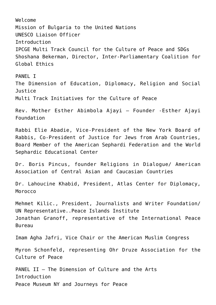Welcome Mission of Bulgaria to the United Nations UNESCO Liaison Officer Introduction IPCGE Multi Track Council for the Culture of Peace and SDGs Shoshana Bekerman, Director, Inter-Parliamentary Coalition for Global Ethics PANFI<sub>T</sub> The Dimension of Education, Diplomacy, Religion and Social Justice Multi Track Initiatives for the Culture of Peace Rev. Mother Esther Abimbola Ajayi – Founder -Esther Ajayi Foundation Rabbi Elie Abadie, Vice-President of the New York Board of Rabbis, Co-President of Justice for Jews from Arab Countries, Board Member of the American Sephardi Federation and the World Sephardic Educational Center Dr. Boris Pincus, founder Religions in Dialogue/ American Association of Central Asian and Caucasian Countries Dr. Lahoucine Khabid, President, Atlas Center for Diplomacy, Morocco Mehmet Kilic., President, Journalists and Writer Foundation/ UN Representative..Peace Islands Institute Jonathan Granoff, representative of the International Peace Bureau Imam Agha Jafri, Vice Chair or the American Muslim Congress Myron Schonfeld, representing Ohr Druze Association for the Culture of Peace PANEL II – The Dimension of Culture and the Arts Introduction Peace Museum NY and Journeys for Peace